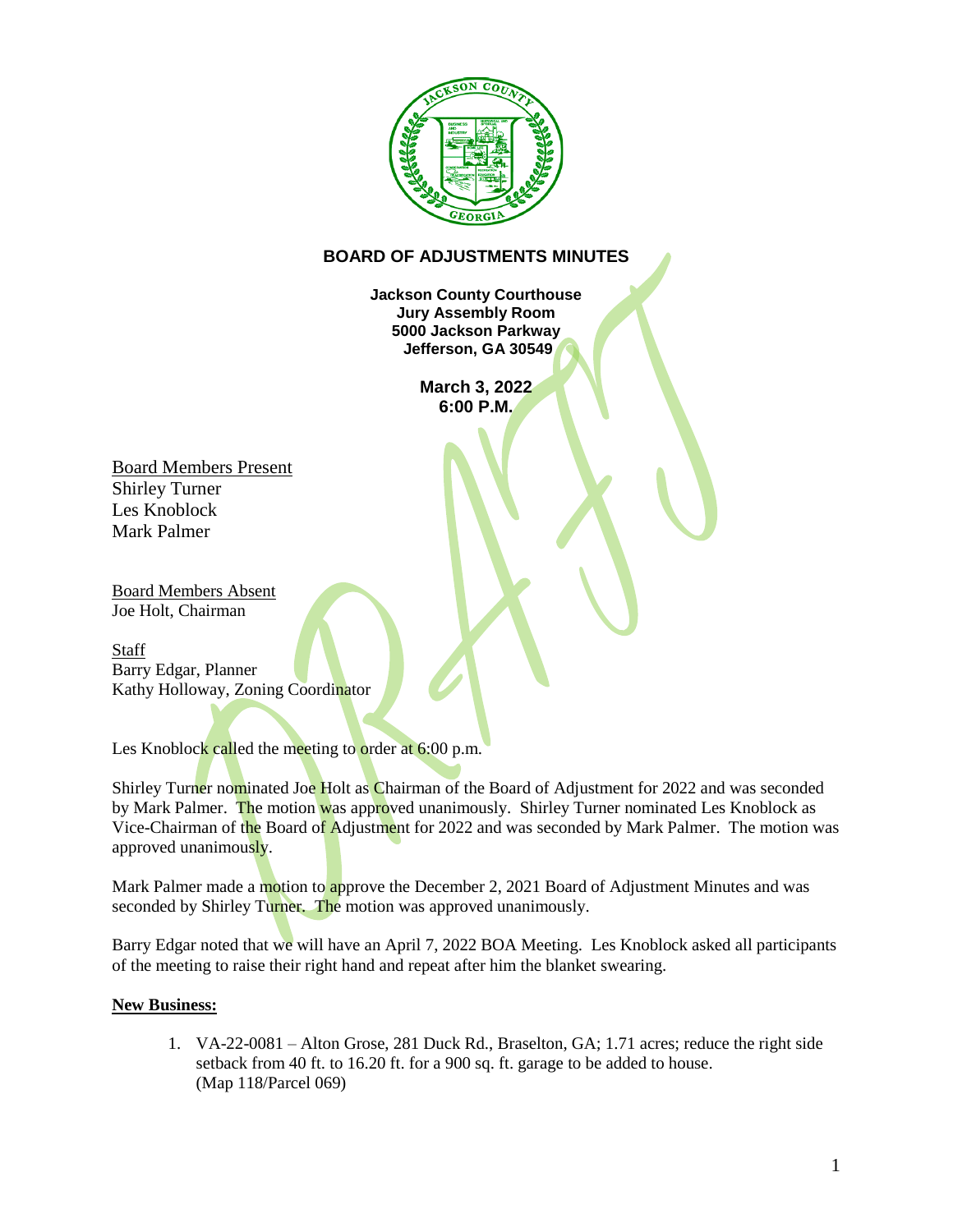

## **BOARD OF ADJUSTMENTS MINUTES**

**Jackson County Courthouse Jury Assembly Room 5000 Jackson Parkway Jefferson, GA 30549**

> **March 3, 2022 6:00 P.M.**

Board Members Present Shirley Turner Les Knoblock Mark Palmer

Board Members Absent Joe Holt, Chairman

**Staff** Barry Edgar, Planner Kathy Holloway, Zoning Coordinator

Les Knoblock called the meeting to order at 6:00 p.m.

Shirley Turner nominated Joe Holt as Chairman of the Board of Adjustment for 2022 and was seconded by Mark Palmer. The motion was approved unanimously. Shirley Turner nominated Les Knoblock as Vice-Chairman of the Board of Adjustment for 2022 and was seconded by Mark Palmer. The motion was approved unanimously.

Mark Palmer made a motion to approve the December 2, 2021 Board of Adjustment Minutes and was seconded by Shirley Turner. The motion was approved unanimously.

Barry Edgar noted that we will have an April 7, 2022 BOA Meeting. Les Knoblock asked all participants of the meeting to raise their right hand and repeat after him the blanket swearing.

## **New Business:**

1. VA-22-0081 – Alton Grose, 281 Duck Rd., Braselton, GA; 1.71 acres; reduce the right side setback from 40 ft. to 16.20 ft. for a 900 sq. ft. garage to be added to house. (Map 118/Parcel 069)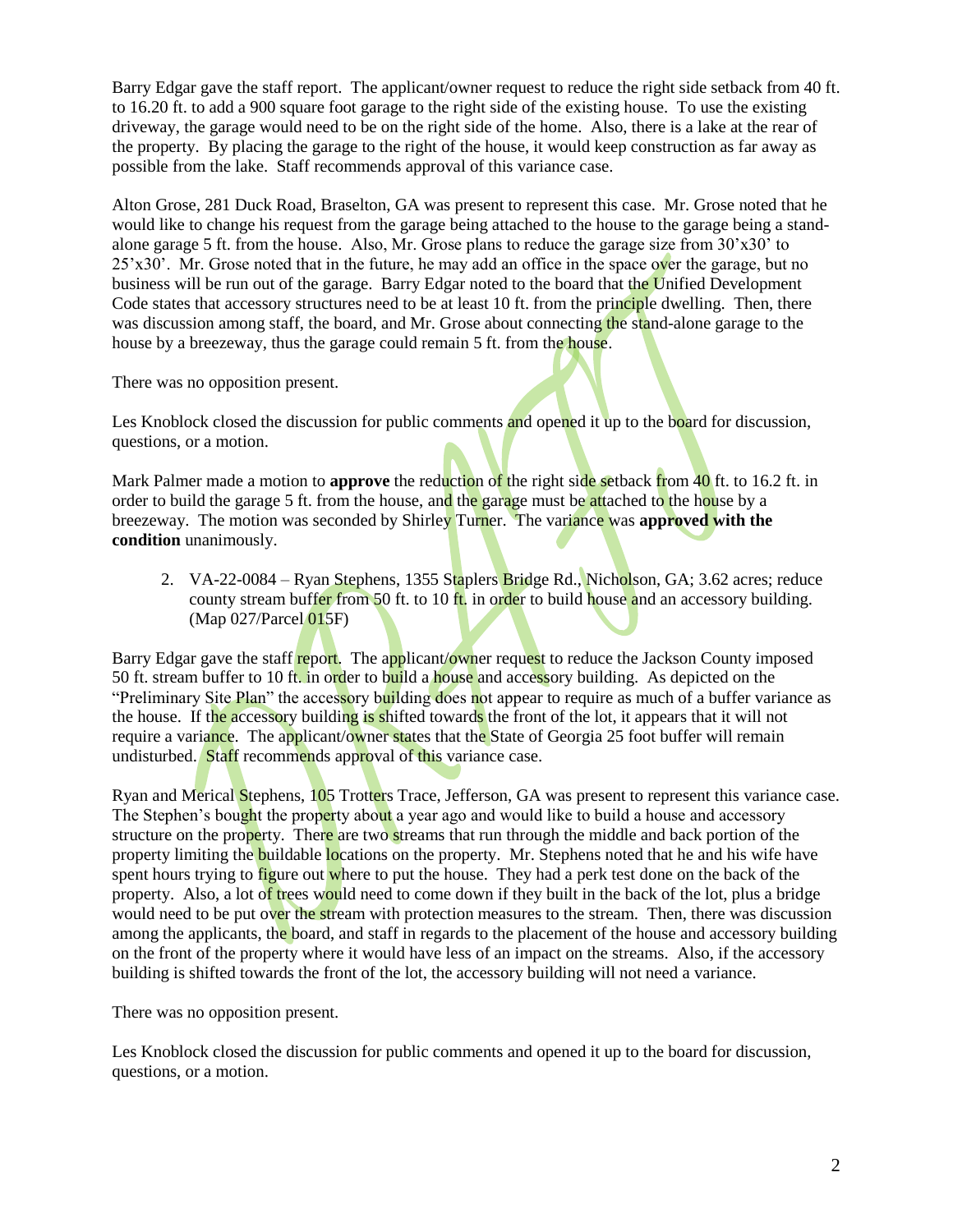Barry Edgar gave the staff report. The applicant/owner request to reduce the right side setback from 40 ft. to 16.20 ft. to add a 900 square foot garage to the right side of the existing house. To use the existing driveway, the garage would need to be on the right side of the home. Also, there is a lake at the rear of the property. By placing the garage to the right of the house, it would keep construction as far away as possible from the lake. Staff recommends approval of this variance case.

Alton Grose, 281 Duck Road, Braselton, GA was present to represent this case. Mr. Grose noted that he would like to change his request from the garage being attached to the house to the garage being a standalone garage 5 ft. from the house. Also, Mr. Grose plans to reduce the garage size from 30'x30' to 25'x30'. Mr. Grose noted that in the future, he may add an office in the space over the garage, but no business will be run out of the garage. Barry Edgar noted to the board that the Unified Development Code states that accessory structures need to be at least 10 ft. from the principle dwelling. Then, there was discussion among staff, the board, and Mr. Grose about connecting the stand-alone garage to the house by a breezeway, thus the garage could remain 5 ft. from the house.

There was no opposition present.

Les Knoblock closed the discussion for public comments and opened it up to the board for discussion, questions, or a motion.

Mark Palmer made a motion to **approve** the reduction of the right side setback from 40 ft. to 16.2 ft. in order to build the garage 5 ft. from the house, and the garage must be attached to the house by a breezeway. The motion was seconded by Shirley Turner. The variance was **approved with the condition** unanimously.

2. VA-22-0084 – Ryan Stephens, 1355 Staplers Bridge Rd., Nicholson, GA; 3.62 acres; reduce county stream buffer from 50 ft. to 10 ft. in order to build house and an accessory building. (Map 027/Parcel 015F)

Barry Edgar gave the staff report. The applicant/owner request to reduce the Jackson County imposed 50 ft. stream buffer to 10 ft. in order to build a house and accessory building. As depicted on the "Preliminary Site Plan" the accessory building does not appear to require as much of a buffer variance as the house. If the accessory building is shifted towards the front of the lot, it appears that it will not require a variance. The applicant/owner states that the State of Georgia 25 foot buffer will remain undisturbed. Staff recommends approval of this variance case.

Ryan and Merical Stephens, 105 Trotters Trace, Jefferson, GA was present to represent this variance case. The Stephen's bought the property about a year ago and would like to build a house and accessory structure on the property. There are two streams that run through the middle and back portion of the property limiting the buildable locations on the property. Mr. Stephens noted that he and his wife have spent hours trying to figure out where to put the house. They had a perk test done on the back of the property. Also, a lot of trees would need to come down if they built in the back of the lot, plus a bridge would need to be put over the stream with protection measures to the stream. Then, there was discussion among the applicants, the board, and staff in regards to the placement of the house and accessory building on the front of the property where it would have less of an impact on the streams. Also, if the accessory building is shifted towards the front of the lot, the accessory building will not need a variance.

There was no opposition present.

Les Knoblock closed the discussion for public comments and opened it up to the board for discussion, questions, or a motion.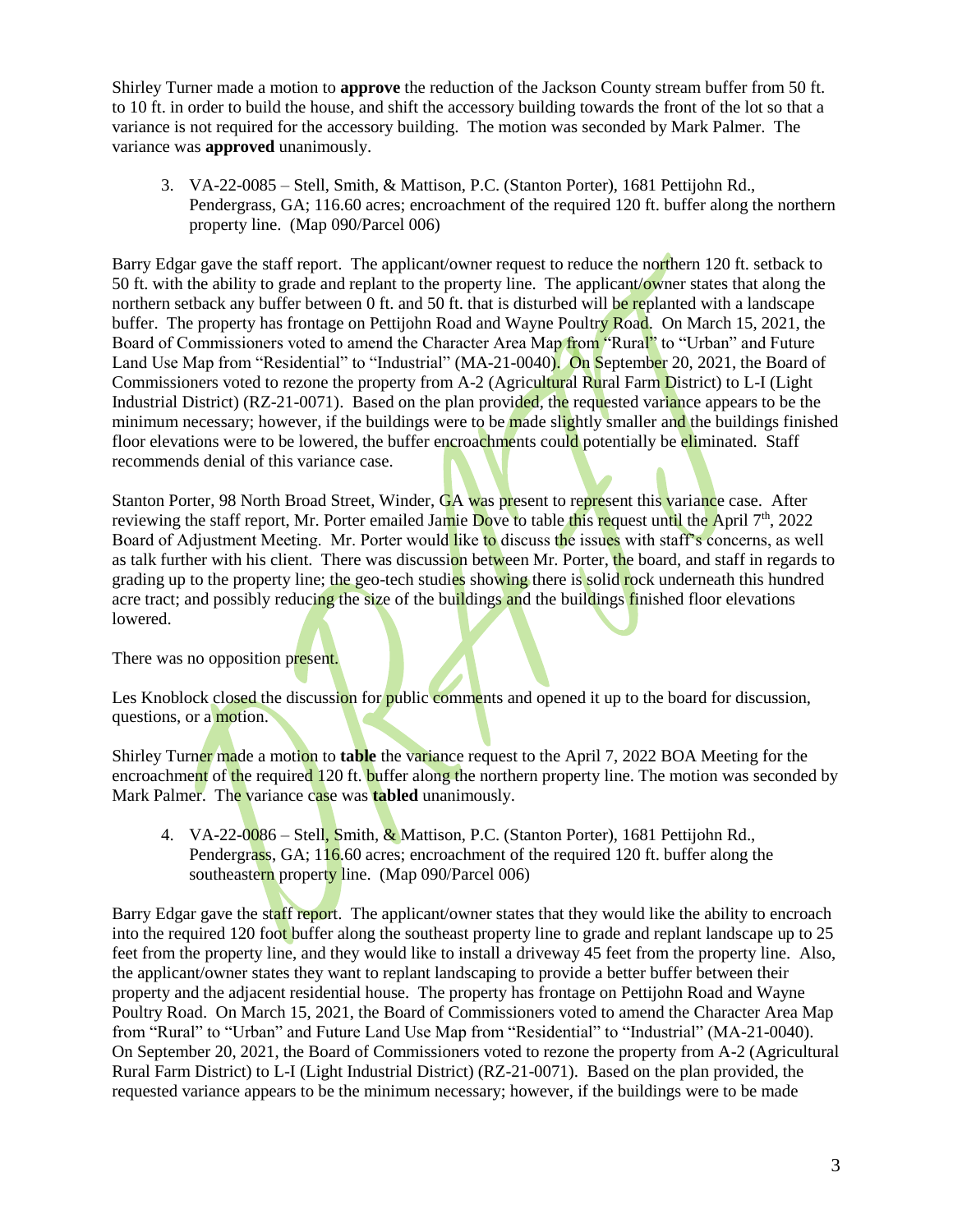Shirley Turner made a motion to **approve** the reduction of the Jackson County stream buffer from 50 ft. to 10 ft. in order to build the house, and shift the accessory building towards the front of the lot so that a variance is not required for the accessory building. The motion was seconded by Mark Palmer. The variance was **approved** unanimously.

3. VA-22-0085 – Stell, Smith, & Mattison, P.C. (Stanton Porter), 1681 Pettijohn Rd., Pendergrass, GA; 116.60 acres; encroachment of the required 120 ft. buffer along the northern property line. (Map 090/Parcel 006)

Barry Edgar gave the staff report. The applicant/owner request to reduce the northern 120 ft. setback to 50 ft. with the ability to grade and replant to the property line. The applicant/owner states that along the northern setback any buffer between 0 ft. and 50 ft. that is disturbed will be replanted with a landscape buffer. The property has frontage on Pettijohn Road and Wayne Poultry Road. On March 15, 2021, the Board of Commissioners voted to amend the Character Area Map from "Rural" to "Urban" and Future Land Use Map from "Residential" to "Industrial" (MA-21-0040). On September 20, 2021, the Board of Commissioners voted to rezone the property from A-2 (Agricultural Rural Farm District) to L-I (Light Industrial District) (RZ-21-0071). Based on the plan provided, the requested variance appears to be the minimum necessary; however, if the buildings were to be made slightly smaller and the buildings finished floor elevations were to be lowered, the buffer encroachments could potentially be eliminated. Staff recommends denial of this variance case.

Stanton Porter, 98 North Broad Street, Winder, GA was present to represent this variance case. After reviewing the staff report, Mr. Porter emailed Jamie Dove to table this request until the April  $7<sup>th</sup>$ , 2022 Board of Adjustment Meeting. Mr. Porter would like to discuss the issues with staff's concerns, as well as talk further with his client. There was discussion between Mr. Porter, the board, and staff in regards to grading up to the property line; the geo-tech studies showing there is solid rock underneath this hundred acre tract; and possibly reducing the size of the buildings and the buildings finished floor elevations lowered.

There was no opposition present.

Les Knoblock closed the discussion for public comments and opened it up to the board for discussion, questions, or a motion.

Shirley Turner made a motion to **table** the variance request to the April 7, 2022 BOA Meeting for the encroachment of the required 120 ft. buffer along the northern property line. The motion was seconded by Mark Palmer. The variance case was **tabled** unanimously.

4. VA-22-0086 – Stell, Smith, & Mattison, P.C. (Stanton Porter), 1681 Pettijohn Rd., Pendergrass, GA; 116.60 acres; encroachment of the required 120 ft. buffer along the southeastern property line. (Map 090/Parcel 006)

Barry Edgar gave the staff report. The applicant/owner states that they would like the ability to encroach into the required 120 foot buffer along the southeast property line to grade and replant landscape up to 25 feet from the property line, and they would like to install a driveway 45 feet from the property line. Also, the applicant/owner states they want to replant landscaping to provide a better buffer between their property and the adjacent residential house. The property has frontage on Pettijohn Road and Wayne Poultry Road. On March 15, 2021, the Board of Commissioners voted to amend the Character Area Map from "Rural" to "Urban" and Future Land Use Map from "Residential" to "Industrial" (MA-21-0040). On September 20, 2021, the Board of Commissioners voted to rezone the property from A-2 (Agricultural Rural Farm District) to L-I (Light Industrial District) (RZ-21-0071). Based on the plan provided, the requested variance appears to be the minimum necessary; however, if the buildings were to be made